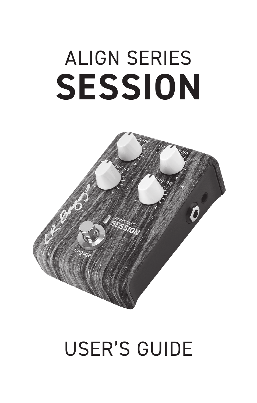# ALIGN SERIES **SESSION**



# USER'S GUIDE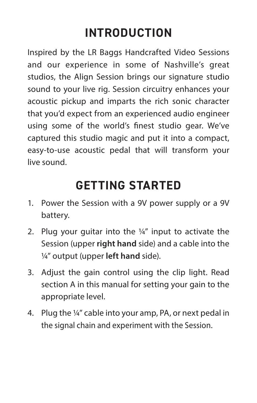# **INTRODUCTION**

Inspired by the LR Baggs Handcrafted Video Sessions and our experience in some of Nashville's great studios, the Align Session brings our signature studio sound to your live rig. Session circuitry enhances your acoustic pickup and imparts the rich sonic character that you'd expect from an experienced audio engineer using some of the world's finest studio gear. We've captured this studio magic and put it into a compact, easy-to-use acoustic pedal that will transform your live sound.

# **GETTING STARTED**

- 1. Power the Session with a 9V power supply or a 9V battery.
- 2. Plug your guitar into the  $\frac{1}{4}$ " input to activate the Session (upper **right hand** side) and a cable into the ¼" output (upper **left hand** side).
- 3. Adjust the gain control using the clip light. Read section A in this manual for setting your gain to the appropriate level.
- 4. Plug the ¼" cable into your amp, PA, or next pedal in the signal chain and experiment with the Session.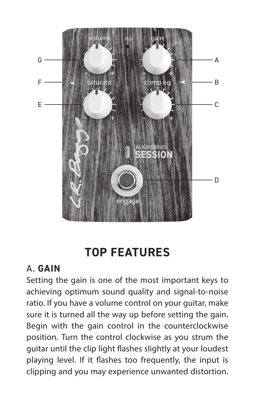

# **TOP FEATURES**

#### A. **GAIN**

Setting the gain is one of the most important keys to achieving optimum sound quality and signal-to-noise ratio. If you have a volume control on your guitar, make sure it is turned all the way up before setting the gain. Begin with the gain control in the counterclockwise position. Turn the control clockwise as you strum the guitar until the clip light flashes slightly at your loudest playing level. If it flashes too frequently, the input is clipping and you may experience unwanted distortion.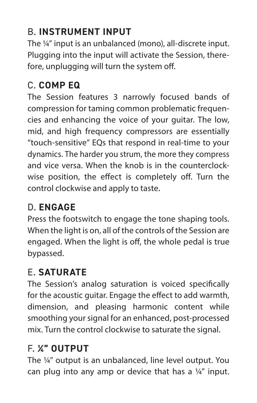# B. **INSTRUMENT INPUT**

The ¼" input is an unbalanced (mono), all-discrete input. Plugging into the input will activate the Session, therefore, unplugging will turn the system off.

#### C. **COMP EQ**

The Session features 3 narrowly focused bands of compression for taming common problematic frequencies and enhancing the voice of your guitar. The low, mid, and high frequency compressors are essentially "touch-sensitive" EQs that respond in real-time to your dynamics. The harder you strum, the more they compress and vice versa. When the knob is in the counterclockwise position, the effect is completely off. Turn the control clockwise and apply to taste.

## D. **ENGAGE**

Press the footswitch to engage the tone shaping tools. When the light is on, all of the controls of the Session are engaged. When the light is off, the whole pedal is true bypassed.

# E. **SATURATE**

The Session's analog saturation is voiced specifically for the acoustic guitar. Engage the effect to add warmth, dimension, and pleasing harmonic content while smoothing your signal for an enhanced, post-processed mix. Turn the control clockwise to saturate the signal.

# F. **¼" OUTPUT**

The ¼" output is an unbalanced, line level output. You can plug into any amp or device that has a ¼" input.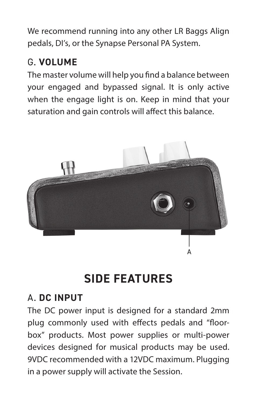We recommend running into any other LR Baggs Align pedals, DI's, or the Synapse Personal PA System.

#### G. **VOLUME**

The master volume will help you find a balance between your engaged and bypassed signal. It is only active when the engage light is on. Keep in mind that your saturation and gain controls will affect this balance.



# **SIDE FEATURES**

#### A. **DC INPUT**

The DC power input is designed for a standard 2mm plug commonly used with effects pedals and "floorbox" products. Most power supplies or multi-power devices designed for musical products may be used. 9VDC recommended with a 12VDC maximum. Plugging in a power supply will activate the Session.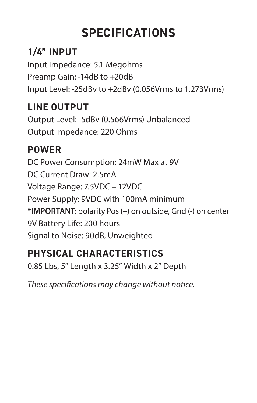# **SPECIFICATIONS**

# **1/4" INPUT**

Input Impedance: 5.1 Megohms Preamp Gain: -14dB to +20dB Input Level: -25dBv to +2dBv (0.056Vrms to 1.273Vrms)

## **LINE OUTPUT**

Output Level: -5dBv (0.566Vrms) Unbalanced Output Impedance: 220 Ohms

#### **POWER**

DC Power Consumption: 24mW Max at 9V DC Current Draw: 2.5mA Voltage Range: 7.5VDC – 12VDC Power Supply: 9VDC with 100mA minimum **\*IMPORTANT:** polarity Pos (+) on outside, Gnd (-) on center 9V Battery Life: 200 hours Signal to Noise: 90dB, Unweighted

#### **PHYSICAL CHARACTERISTICS**

0.85 Lbs, 5" Length x 3.25" Width x 2" Depth

*These specifications may change without notice.*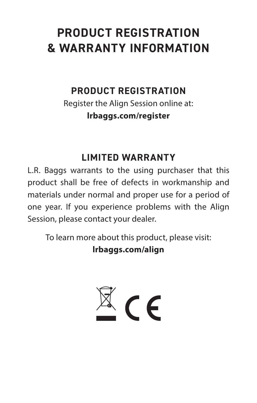# **PRODUCT REGISTRATION & WARRANTY INFORMATION**

#### **PRODUCT REGISTRATION**

Register the Align Session online at: **lrbaggs.com/register**

#### **LIMITED WARRANTY**

L.R. Baggs warrants to the using purchaser that this product shall be free of defects in workmanship and materials under normal and proper use for a period of one year. If you experience problems with the Align Session, please contact your dealer.

To learn more about this product, please visit: **lrbaggs.com/align**